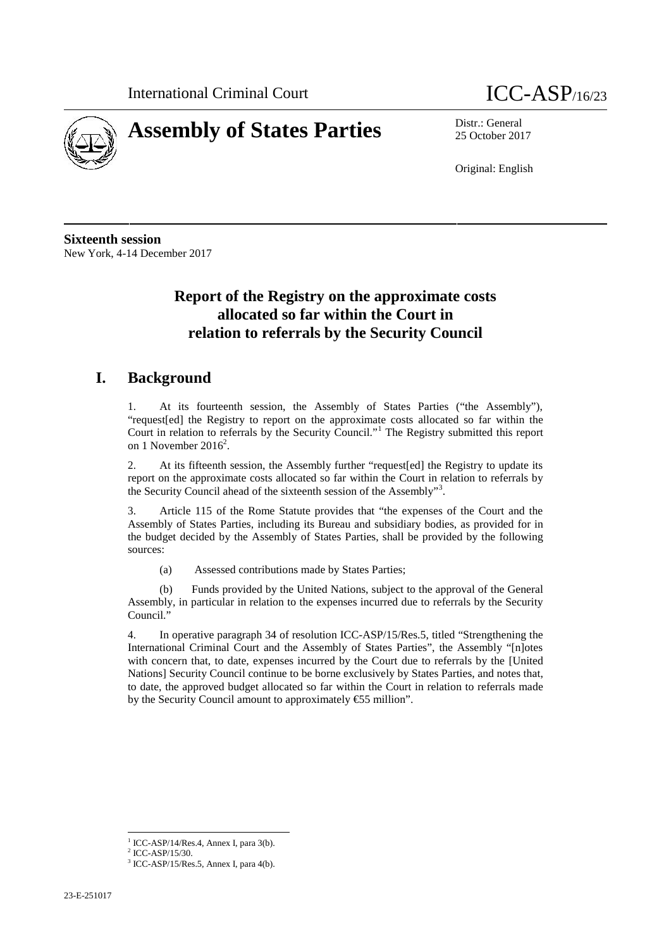



25 October 2017

Original: English

**Sixteenth session** New York, 4-14 December 2017

## **Report of the Registry on the approximate costs allocated so far within the Court in relation to referrals by the Security Council**

## **I. Background**

1. At its fourteenth session, the Assembly of States Parties ("the Assembly"), "request[ed] the Registry to report on the approximate costs allocated so far within the Court in relation to referrals by the Security Council."<sup>1</sup> The Registry submitted this report on 1 November 2016<sup>2</sup>.

2. At its fifteenth session, the Assembly further "request[ed] the Registry to update its report on the approximate costs allocated so far within the Court in relation to referrals by the Security Council ahead of the sixteenth session of the Assembly"<sup>3</sup> .

3. Article 115 of the Rome Statute provides that "the expenses of the Court and the Assembly of States Parties, including its Bureau and subsidiary bodies, as provided for in the budget decided by the Assembly of States Parties, shall be provided by the following sources:

(a) Assessed contributions made by States Parties;

(b) Funds provided by the United Nations, subject to the approval of the General Assembly, in particular in relation to the expenses incurred due to referrals by the Security Council."

4. In operative paragraph 34 of resolution ICC-ASP/15/Res.5, titled "Strengthening the International Criminal Court and the Assembly of States Parties", the Assembly "[n]otes with concern that, to date, expenses incurred by the Court due to referrals by the [United Nations] Security Council continue to be borne exclusively by States Parties, and notes that, to date, the approved budget allocated so far within the Court in relation to referrals made by the Security Council amount to approximately  $\text{\textsterling}55$  million".

 $1$  ICC-ASP/14/Res.4, Annex I, para 3(b).

 $2$  ICC-ASP/15/30.<br> $3$  ICC-ASP/15/Res.5, Annex I, para 4(b).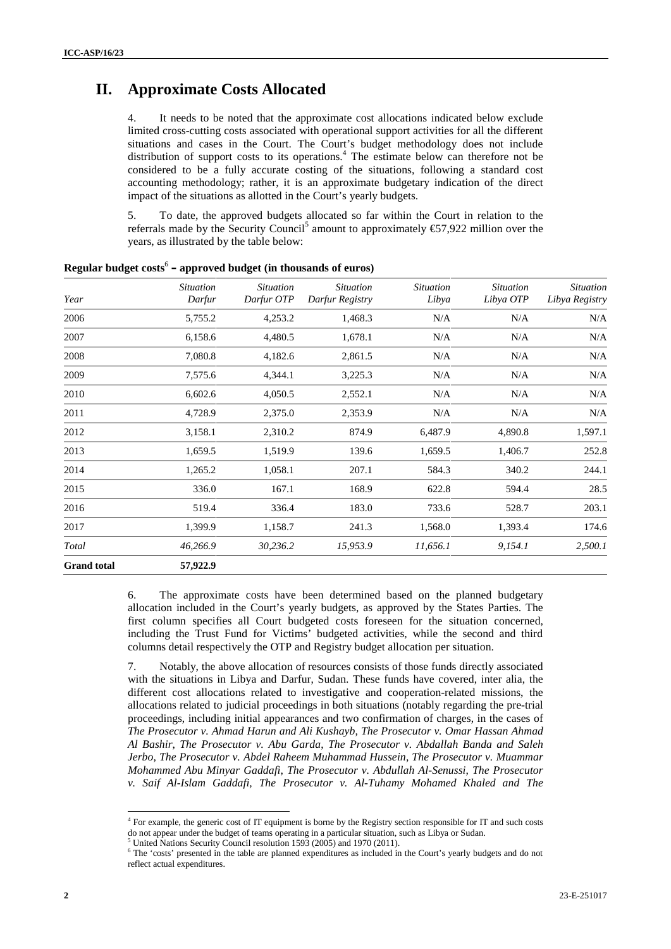## **II. Approximate Costs Allocated**

It needs to be noted that the approximate cost allocations indicated below exclude limited cross-cutting costs associated with operational support activities for all the different situations and cases in the Court. The Court's budget methodology does not include distribution of support costs to its operations.<sup>4</sup> The estimate below can therefore not be considered to be a fully accurate costing of the situations, following a standard cost accounting methodology; rather, it is an approximate budgetary indication of the direct impact of the situations as allotted in the Court's yearly budgets.

5. To date, the approved budgets allocated so far within the Court in relation to the referrals made by the Security Council<sup>5</sup> amount to approximately  $\epsilon$ 57,922 million over the years, as illustrated by the table below:

| Year               | <i>Situation</i><br>Darfur | <b>Situation</b><br>Darfur OTP | <b>Situation</b><br>Darfur Registry | <b>Situation</b><br>Libya | <b>Situation</b><br>Libya OTP | <b>Situation</b><br>Libya Registry |
|--------------------|----------------------------|--------------------------------|-------------------------------------|---------------------------|-------------------------------|------------------------------------|
| 2006               | 5,755.2                    | 4,253.2                        | 1,468.3                             | N/A                       | N/A                           | N/A                                |
| 2007               | 6,158.6                    | 4,480.5                        | 1,678.1                             | N/A                       | N/A                           | N/A                                |
| 2008               | 7,080.8                    | 4,182.6                        | 2,861.5                             | N/A                       | N/A                           | N/A                                |
| 2009               | 7,575.6                    | 4,344.1                        | 3,225.3                             | N/A                       | N/A                           | N/A                                |
| 2010               | 6,602.6                    | 4,050.5                        | 2,552.1                             | N/A                       | N/A                           | N/A                                |
| 2011               | 4,728.9                    | 2,375.0                        | 2,353.9                             | N/A                       | N/A                           | N/A                                |
| 2012               | 3,158.1                    | 2,310.2                        | 874.9                               | 6,487.9                   | 4,890.8                       | 1,597.1                            |
| 2013               | 1,659.5                    | 1,519.9                        | 139.6                               | 1,659.5                   | 1,406.7                       | 252.8                              |
| 2014               | 1,265.2                    | 1,058.1                        | 207.1                               | 584.3                     | 340.2                         | 244.1                              |
| 2015               | 336.0                      | 167.1                          | 168.9                               | 622.8                     | 594.4                         | 28.5                               |
| 2016               | 519.4                      | 336.4                          | 183.0                               | 733.6                     | 528.7                         | 203.1                              |
| 2017               | 1,399.9                    | 1,158.7                        | 241.3                               | 1,568.0                   | 1,393.4                       | 174.6                              |
| Total              | 46,266.9                   | 30,236.2                       | 15,953.9                            | 11,656.1                  | 9,154.1                       | 2,500.1                            |
| <b>Grand</b> total | 57,922.9                   |                                |                                     |                           |                               |                                    |

**Regular budget costs**<sup>6</sup> **– approved budget (in thousands of euros)**

6. The approximate costs have been determined based on the planned budgetary allocation included in the Court's yearly budgets, as approved by the States Parties. The first column specifies all Court budgeted costs foreseen for the situation concerned, including the Trust Fund for Victims' budgeted activities, while the second and third columns detail respectively the OTP and Registry budget allocation per situation.

7. Notably, the above allocation of resources consists of those funds directly associated with the situations in Libya and Darfur, Sudan. These funds have covered, inter alia, the different cost allocations related to investigative and cooperation-related missions, the allocations related to judicial proceedings in both situations (notably regarding the pre-trial proceedings, including initial appearances and two confirmation of charges, in the cases of *The Prosecutor v. Ahmad Harun and Ali Kushayb*, *The Prosecutor v. Omar Hassan Ahmad Al Bashir*, *The Prosecutor v. Abu Garda*, *The Prosecutor v. Abdallah Banda and Saleh Jerbo*, *The Prosecutor v. Abdel Raheem Muhammad Hussein*, *The Prosecutor v. Muammar Mohammed Abu Minyar Gaddafi*, *The Prosecutor v. Abdullah Al-Senussi*, *The Prosecutor v. Saif Al-Islam Gaddafi, The Prosecutor v. Al-Tuhamy Mohamed Khaled and The*

<sup>4</sup> For example, the generic cost of IT equipment is borne by the Registry section responsible for IT and such costs do not appear under the budget of teams operating in a particular situation, such as Libya or Sudan.

<sup>5</sup> United Nations Security Council resolution 1593 (2005) and 1970 (2011).

<sup>6</sup> The 'costs' presented in the table are planned expenditures as included in the Court's yearly budgets and do not reflect actual expenditures.